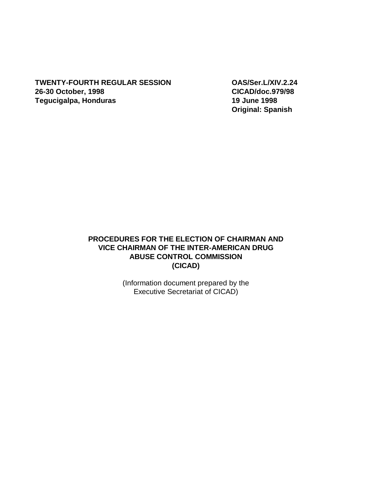**TWENTY-FOURTH REGULAR SESSION OAS/Ser.L/XIV.2.24 26-30 October, 1998 CICAD/doc.979/98 Tegucigalpa, Honduras 19 June 1998** 

**Original: Spanish** 

## **PROCEDURES FOR THE ELECTION OF CHAIRMAN AND VICE CHAIRMAN OF THE INTER-AMERICAN DRUG ABUSE CONTROL COMMISSION (CICAD)**

(Information document prepared by the Executive Secretariat of CICAD)